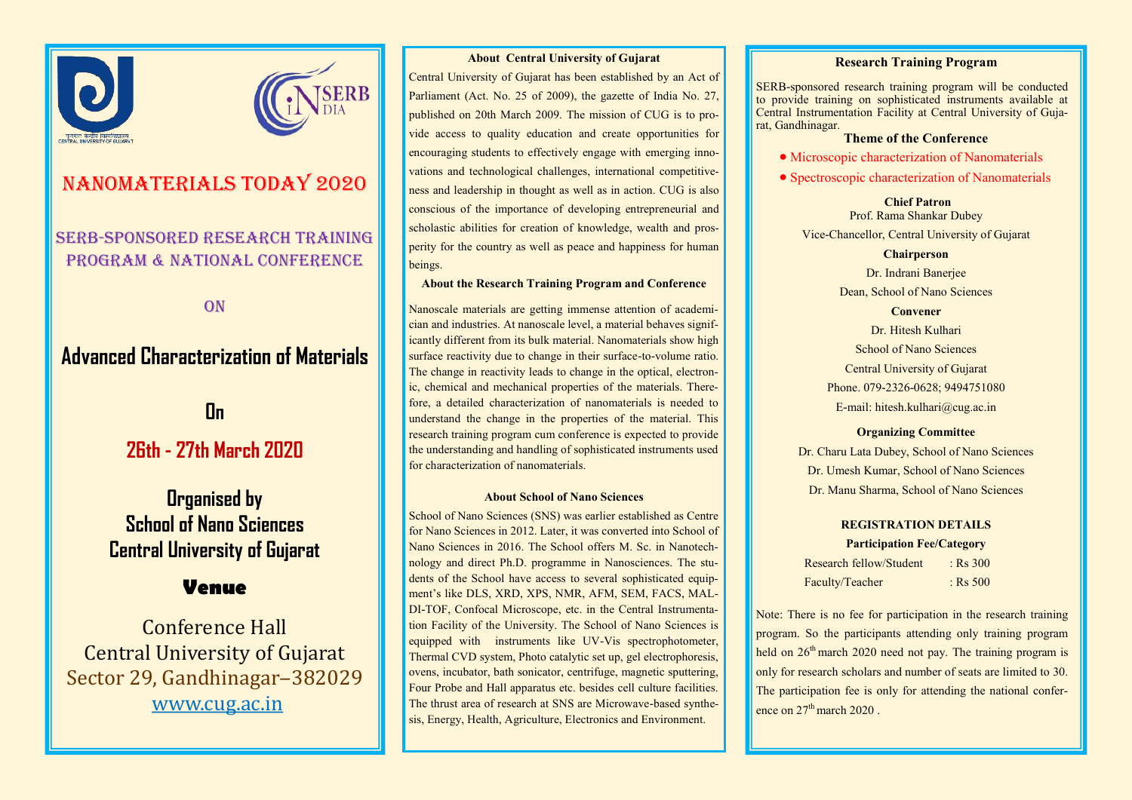



# NaNOMATERIALS TODAY 2020

## SERB-sponsored Research Training PROGRAM & NATIONAL CONFERENCE

**ON** 

# **Advanced Characterization of Materials**

# **On**

# **26th - 27th March 2020**

# **Organised by School of Nano Sciences Central University of Gujarat**

## **Venue**

Conference Hall Central University of Gujarat Sector 29, Gandhinagar-382029 www.cug.ac.in

#### **About Central University of Gujarat**

Central University of Gujarat has been established by an Act of Parliament (Act. No. 25 of 2009), the gazette of India No. 27, published on 20th March 2009. The mission of CUG is to provide access to quality education and create opportunities for encouraging students to effectively engage with emerging innovations and technological challenges, international competitiveness and leadership in thought as well as in action. CUG is also conscious of the importance of developing entrepreneurial and scholastic abilities for creation of knowledge, wealth and prosperity for the country as well as peace and happiness for human beings.

#### **About the Research Training Program and Conference**

Nanoscale materials are getting immense attention of academician and industries. At nanoscale level, a material behaves significantly different from its bulk material. Nanomaterials show high surface reactivity due to change in their surface-to-volume ratio. The change in reactivity leads to change in the optical, electronic, chemical and mechanical properties of the materials. Therefore, a detailed characterization of nanomaterials is needed to understand the change in the properties of the material. This research training program cum conference is expected to provide the understanding and handling of sophisticated instruments used for characterization of nanomaterials.

#### **About School of Nano Sciences**

School of Nano Sciences (SNS) was earlier established as Centre for Nano Sciences in 2012. Later, it was converted into School of Nano Sciences in 2016. The School offers M. Sc. in Nanotechnology and direct Ph.D. programme in Nanosciences. The students of the School have access to several sophisticated equipment's like DLS, XRD, XPS, NMR, AFM, SEM, FACS, MAL-DI-TOF, Confocal Microscope, etc. in the Central Instrumentation Facility of the University. The School of Nano Sciences is equipped with instruments like UV-Vis spectrophotometer, Thermal CVD system, Photo catalytic set up, gel electrophoresis, ovens, incubator, bath sonicator, centrifuge, magnetic sputtering, Four Probe and Hall apparatus etc. besides cell culture facilities. The thrust area of research at SNS are Microwave-based synthesis, Energy, Health, Agriculture, Electronics and Environment.

#### **Research Training Program**

SERB-sponsored research training program will be conducted to provide training on sophisticated instruments available at Central Instrumentation Facility at Central University of Gujarat, Gandhinagar.

### **Theme of the Conference**

• Microscopic characterization of Nanomaterials

• Spectroscopic characterization of Nanomaterials

**Chief Patron** Prof. Rama Shankar Dubey Vice-Chancellor, Central University of Gujarat

#### **Chairperson**

Dr. Indrani Banerjee Dean, School of Nano Sciences **Convener** 

Dr. Hitesh Kulhari School of Nano Sciences Central University of Gujarat Phone. 079-2326-0628; 9494751080 E-mail: hitesh.kulhari@cug.ac.in

#### **Organizing Committee**

Dr. Charu Lata Dubey, School of Nano Sciences Dr. Umesh Kumar, School of Nano Sciences Dr. Manu Sharma, School of Nano Sciences

## **REGISTRATION DETAILS**

**Participation Fee/Category**

| Research fellow/Student | $:$ Rs 300 |
|-------------------------|------------|
| Faculty/Teacher         | $:$ Rs 500 |

Note: There is no fee for participation in the research training program. So the participants attending only training program held on 26<sup>th</sup> march 2020 need not pay. The training program is only for research scholars and number of seats are limited to 30. The participation fee is only for attending the national conference on  $27<sup>th</sup>$  march  $2020$ .